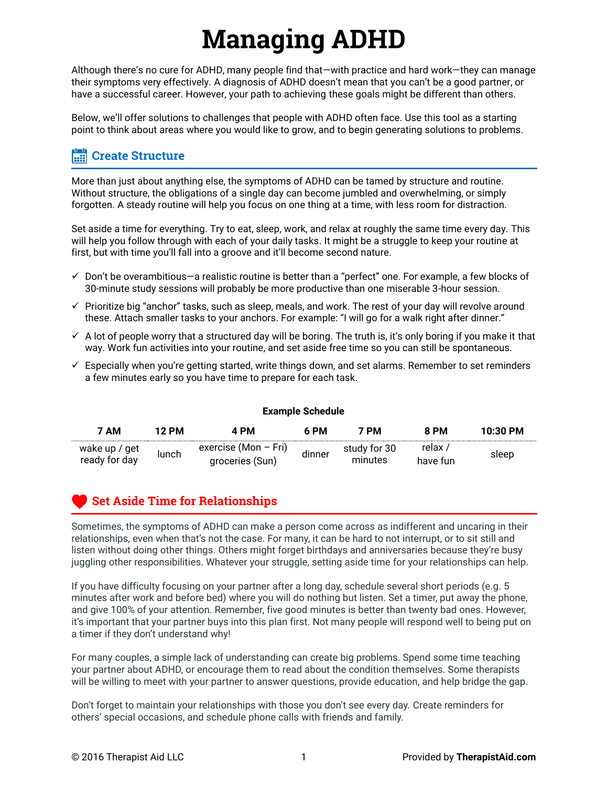# **Managing ADHD**

Although there's no cure for ADHD, many people find that—with practice and hard work—they can manage their symptoms very effectively. A diagnosis of ADHD doesn't mean that you can't be a good partner, or have a successful career. However, your path to achieving these goals might be different than others.

Below, we'll offer solutions to challenges that people with ADHD often face. Use this tool as a starting point to think about areas where you would like to grow, and to begin generating solutions to problems.

#### **Create Structure**

More than just about anything else, the symptoms of ADHD can be tamed by structure and routine. Without structure, the obligations of a single day can become jumbled and overwhelming, or simply forgotten. A steady routine will help you focus on one thing at a time, with less room for distraction.

Set aside a time for everything. Try to eat, sleep, work, and relax at roughly the same time every day. This will help you follow through with each of your daily tasks. It might be a struggle to keep your routine at first, but with time you'll fall into a groove and it'll become second nature.

- $\checkmark$  Don't be overambitious—a realistic routine is better than a "perfect" one. For example, a few blocks of 30-minute study sessions will probably be more productive than one miserable 3-hour session.
- $\checkmark$  Prioritize big "anchor" tasks, such as sleep, meals, and work. The rest of your day will revolve around these. Attach smaller tasks to your anchors. For example: "I will go for a walk right after dinner."
- $\checkmark$  A lot of people worry that a structured day will be boring. The truth is, it's only boring if you make it that way. Work fun activities into your routine, and set aside free time so you can still be spontaneous.
- $\checkmark$  Especially when you're getting started, write things down, and set alarms. Remember to set reminders a few minutes early so you have time to prepare for each task.

**Example Schedule**

| <b>Example Schedule</b>        |       |                                           |        |                         |                     |            |
|--------------------------------|-------|-------------------------------------------|--------|-------------------------|---------------------|------------|
| 7 AM                           | 12 PM | 4 PM                                      | 6 PM   | 7 PM                    | 8 PM                | $10:30$ PM |
| wake up / get<br>ready for day | lunch | exercise (Mon $-$ Fri)<br>groceries (Sun) | dinner | study for 30<br>minutes | ، relax<br>have fun | sleep      |

### **Set Aside Time for Relationships**

Sometimes, the symptoms of ADHD can make a person come across as indifferent and uncaring in their relationships, even when that's not the case. For many, it can be hard to not interrupt, or to sit still and listen without doing other things. Others might forget birthdays and anniversaries because they're busy juggling other responsibilities. Whatever your struggle, setting aside time for your relationships can help.

If you have difficulty focusing on your partner after a long day, schedule several short periods (e.g. 5 minutes after work and before bed) where you will do nothing but listen. Set a timer, put away the phone, and give 100% of your attention. Remember, five good minutes is better than twenty bad ones. However, it's important that your partner buys into this plan first. Not many people will respond well to being put on a timer if they don't understand why!

For many couples, a simple lack of understanding can create big problems. Spend some time teaching your partner about ADHD, or encourage them to read about the condition themselves. Some therapists will be willing to meet with your partner to answer questions, provide education, and help bridge the gap.

Don't forget to maintain your relationships with those you don't see every day. Create reminders for others' special occasions, and schedule phone calls with friends and family.